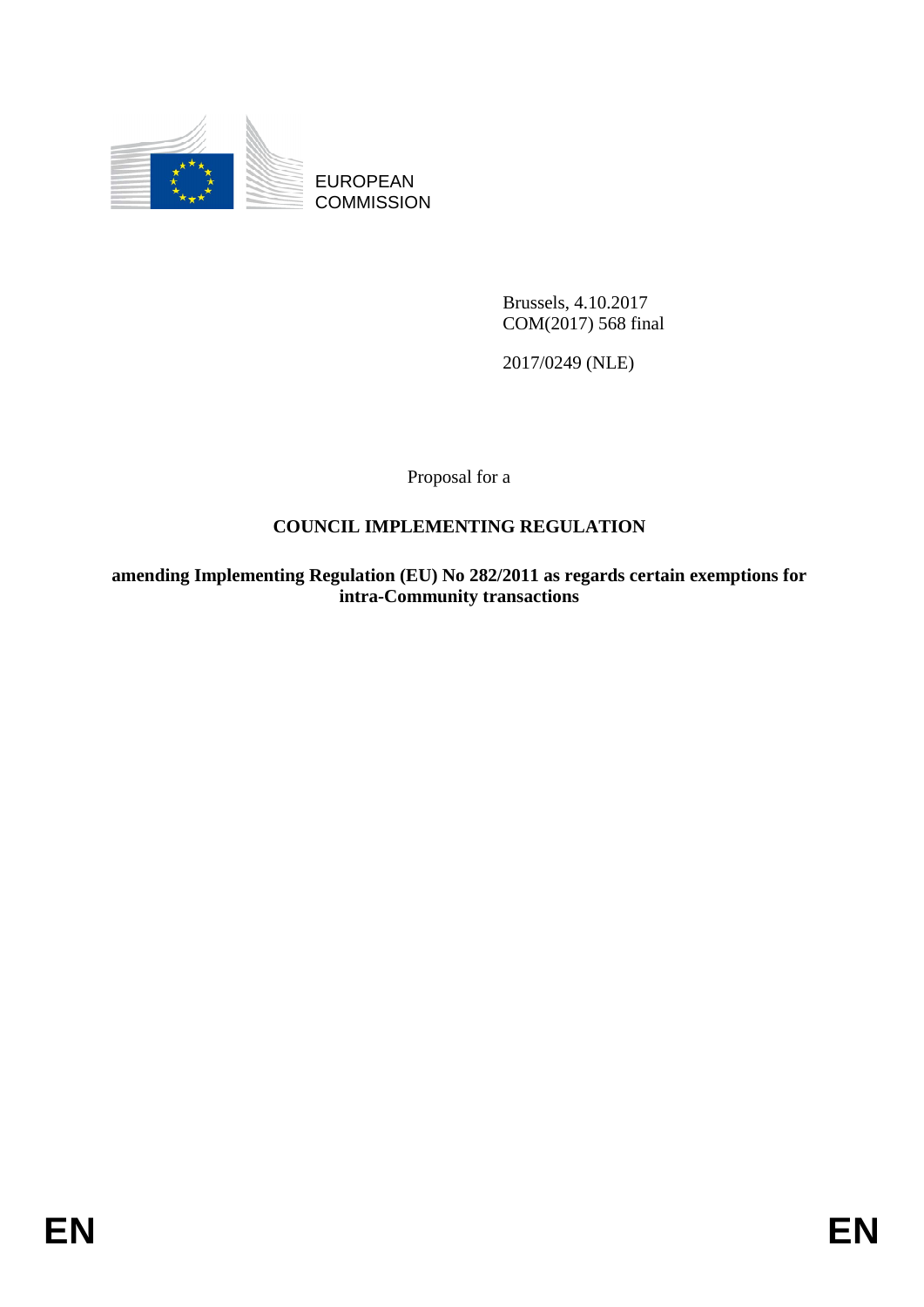

EUROPEAN **COMMISSION** 

> Brussels, 4.10.2017 COM(2017) 568 final

2017/0249 (NLE)

Proposal for a

# **COUNCIL IMPLEMENTING REGULATION**

**amending Implementing Regulation (EU) No 282/2011 as regards certain exemptions for intra-Community transactions**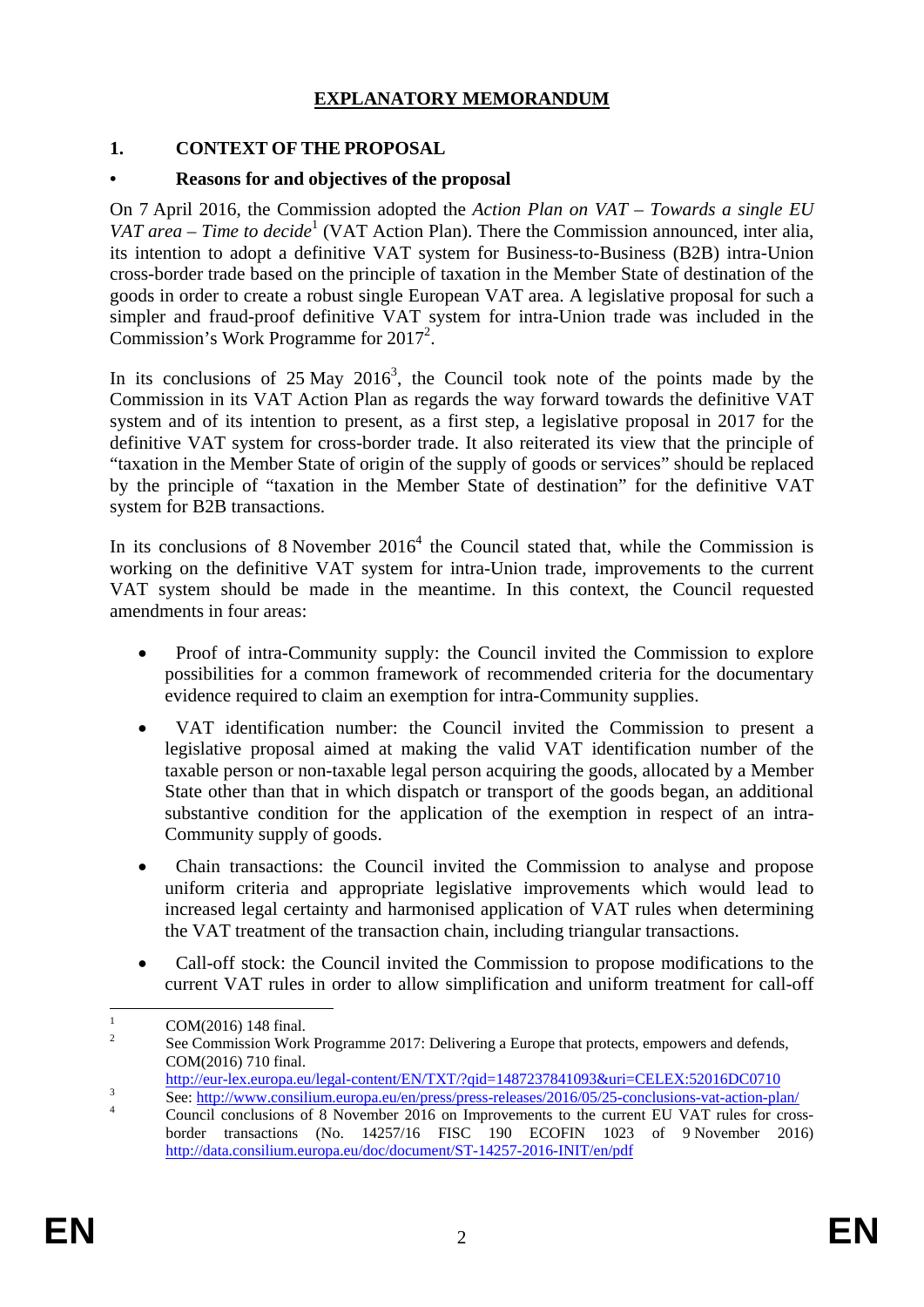## **EXPLANATORY MEMORANDUM**

#### **1. CONTEXT OF THE PROPOSAL**

#### **• Reasons for and objectives of the proposal**

On 7 April 2016, the Commission adopted the *Action Plan on VAT – Towards a single EU VAT area – Time to decide*<sup>1</sup> (VAT Action Plan). There the Commission announced, inter alia, its intention to adopt a definitive VAT system for Business-to-Business (B2B) intra-Union cross-border trade based on the principle of taxation in the Member State of destination of the goods in order to create a robust single European VAT area. A legislative proposal for such a simpler and fraud-proof definitive VAT system for intra-Union trade was included in the Commission's Work Programme for 2017<sup>2</sup>.

In its conclusions of  $25$  May  $2016^3$ , the Council took note of the points made by the Commission in its VAT Action Plan as regards the way forward towards the definitive VAT system and of its intention to present, as a first step, a legislative proposal in 2017 for the definitive VAT system for cross-border trade. It also reiterated its view that the principle of "taxation in the Member State of origin of the supply of goods or services" should be replaced by the principle of "taxation in the Member State of destination" for the definitive VAT system for B2B transactions.

In its conclusions of 8 November  $2016<sup>4</sup>$  the Council stated that, while the Commission is working on the definitive VAT system for intra-Union trade, improvements to the current VAT system should be made in the meantime. In this context, the Council requested amendments in four areas:

- Proof of intra-Community supply: the Council invited the Commission to explore possibilities for a common framework of recommended criteria for the documentary evidence required to claim an exemption for intra-Community supplies.
- VAT identification number: the Council invited the Commission to present a legislative proposal aimed at making the valid VAT identification number of the taxable person or non-taxable legal person acquiring the goods, allocated by a Member State other than that in which dispatch or transport of the goods began, an additional substantive condition for the application of the exemption in respect of an intra-Community supply of goods.
- Chain transactions: the Council invited the Commission to analyse and propose uniform criteria and appropriate legislative improvements which would lead to increased legal certainty and harmonised application of VAT rules when determining the VAT treatment of the transaction chain, including triangular transactions.
- Call-off stock: the Council invited the Commission to propose modifications to the current VAT rules in order to allow simplification and uniform treatment for call-off

 $\frac{1}{1}$ COM(2016) 148 final.

 $\overline{\phantom{a}}$  See Commission Work Programme 2017: Delivering a Europe that protects, empowers and defends, COM(2016) 710 final.

[http://eur-lex.europa.eu/legal-content/EN/T](http://eur-lex.europa.eu/legal-content/EN/TXT/?qid=1487237841093&uri=CELEX:52016DC0710)XT/?qid=1487237841093&uri=CELEX:52016DC0710

See[: http://www.consilium.europa.eu/en/press/press-releases/2016/05/25-conclusions-vat-action-plan/](http://www.consilium.europa.eu/en/press/press-releases/2016/05/25-conclusions-vat-action-plan/) <sup>4</sup>

Council conclusions of 8 November 2016 on Improvements to the current EU VAT rules for crossborder transactions (No. 14257/16 FISC 190 ECOFIN 1023 of 9 November 2016) <http://data.consilium.europa.eu/doc/document/ST-14257-2016-INIT/en/pdf>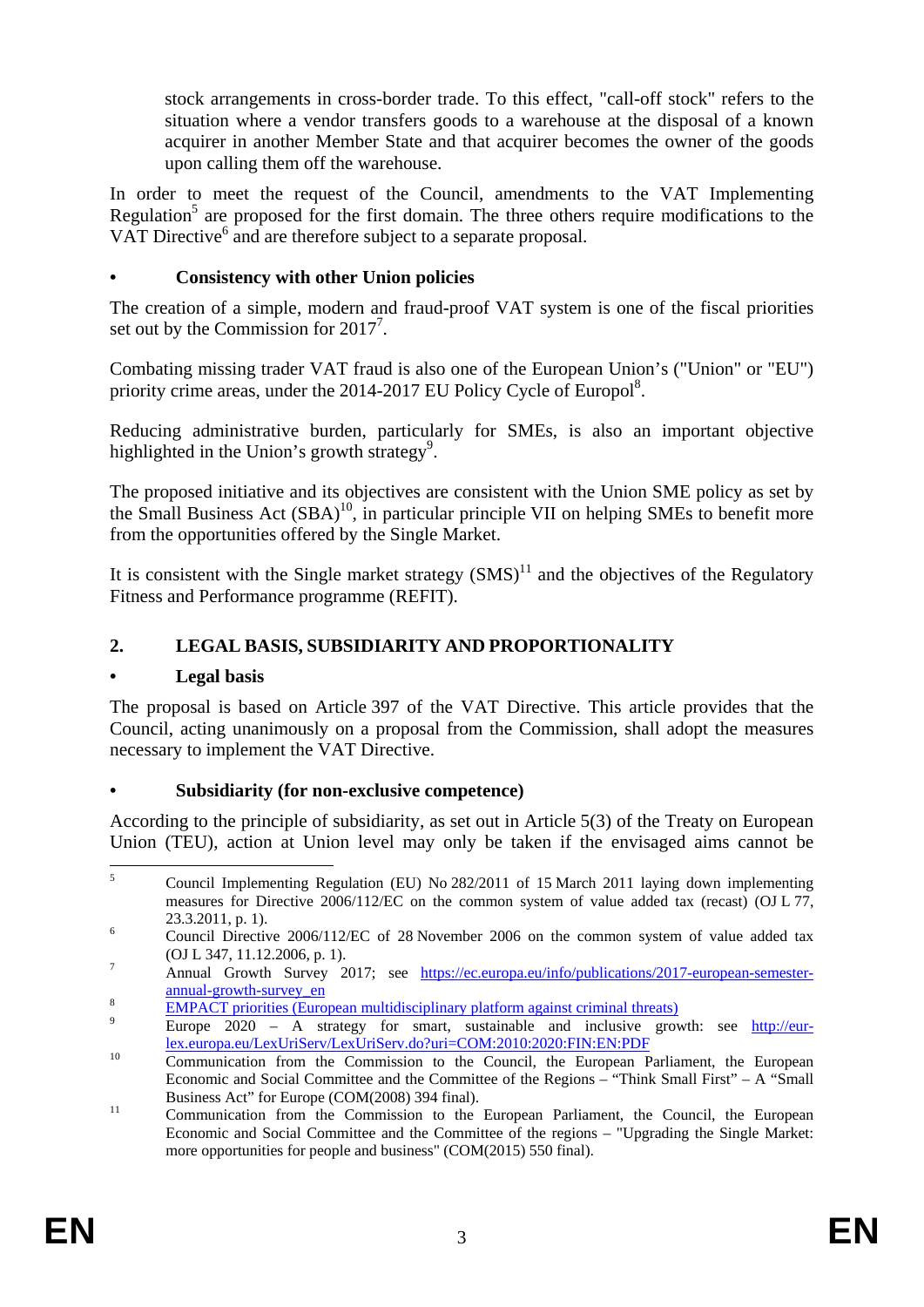stock arrangements in cross-border trade. To this effect, "call-off stock" refers to the situation where a vendor transfers goods to a warehouse at the disposal of a known acquirer in another Member State and that acquirer becomes the owner of the goods upon calling them off the warehouse.

In order to meet the request of the Council, amendments to the VAT Implementing Regulation<sup>5</sup> are proposed for the first domain. The three others require modifications to the VAT Directive<sup>6</sup> and are therefore subject to a separate proposal.

#### **• Consistency with other Union policies**

The creation of a simple, modern and fraud-proof VAT system is one of the fiscal priorities set out by the Commission for  $2017<sup>7</sup>$ .

Combating missing trader VAT fraud is also one of the European Union's ("Union" or "EU") priority crime areas, under the 2014-2017 EU Policy Cycle of Europol<sup>8</sup>.

Reducing administrative burden, particularly for SMEs, is also an important objective highlighted in the Union's growth strategy<sup>9</sup>.

The proposed initiative and its objectives are consistent with the Union SME policy as set by the Small Business Act  $(SBA)^{10}$ , in particular principle VII on helping SMEs to benefit more from the opportunities offered by the Single Market.

It is consistent with the Single market strategy  $(SMS)^{11}$  and the objectives of the Regulatory Fitness and Performance programme (REFIT).

# **2. LEGAL BASIS, SUBSIDIARITY AND PROPORTIONALITY**

## **• Legal basis**

The proposal is based on Article 397 of the VAT Directive. This article provides that the Council, acting unanimously on a proposal from the Commission, shall adopt the measures necessary to implement the VAT Directive.

## **• Subsidiarity (for non-exclusive competence)**

According to the principle of subsidiarity, as set out in Article 5(3) of the Treaty on European Union (TEU), action at Union level may only be taken if the envisaged aims cannot be

 $\frac{1}{5}$  Council Implementing Regulation (EU) No 282/2011 of 15 March 2011 laying down implementing measures for Directive 2006/112/EC on the common system of value added tax (recast) (OJ L 77, 23.3.2011, p. 1).

Council Directive 2006/112/EC of 28 November 2006 on the common system of value added tax  $(OJ L 347, 11.12.2006, p. 1).$ 

Annual Growth Survey 2017; see https://ec.europa.eu/info/publications/2017-european-semester-

[annual-growth-survey\\_en](https://ec.europa.eu/info/publications/2017-european-semester-annual-growth-survey_en)<br>8 [EMPACT priorities](https://www.europol.europa.eu/crime-areas-and-trends/eu-policy-cycle-empact) (European multidisciplinary platform against criminal threats)

Europe 2020 – A strategy for smart, sustainable and inclusive growth: see http://eur-<br>lex.europa.eu/LexUriServ/LexUriServ.do?uri=COM:2010:2020:FIN:EN:PDF

 $\frac{10}{\text{Commutation}}$  from the Commission to the Council, the European Parliament, the European Economic and Social Committee and the Committee of the Regions – "Think Small First" – A "Small

Business Act" for Europe (COM(2008) 394 final).<br><sup>11</sup> Communication from the Commission to the European Parliament, the Council, the European Economic and Social Committee and the Committee of the regions – "Upgrading the Single Market: more opportunities for people and business" (COM(2015) 550 final).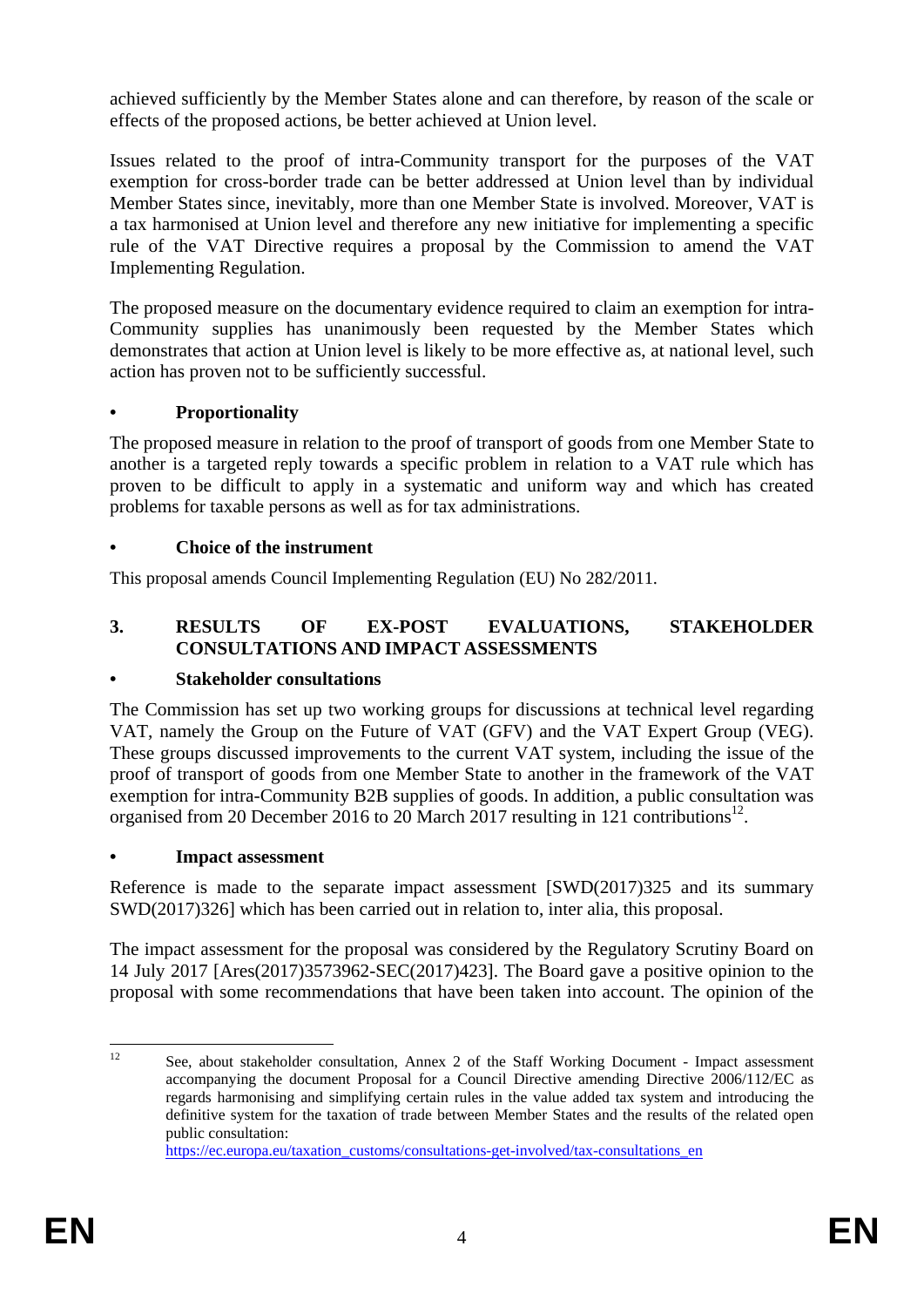achieved sufficiently by the Member States alone and can therefore, by reason of the scale or effects of the proposed actions, be better achieved at Union level.

Issues related to the proof of intra-Community transport for the purposes of the VAT exemption for cross-border trade can be better addressed at Union level than by individual Member States since, inevitably, more than one Member State is involved. Moreover, VAT is a tax harmonised at Union level and therefore any new initiative for implementing a specific rule of the VAT Directive requires a proposal by the Commission to amend the VAT Implementing Regulation.

The proposed measure on the documentary evidence required to claim an exemption for intra-Community supplies has unanimously been requested by the Member States which demonstrates that action at Union level is likely to be more effective as, at national level, such action has proven not to be sufficiently successful.

# **• Proportionality**

The proposed measure in relation to the proof of transport of goods from one Member State to another is a targeted reply towards a specific problem in relation to a VAT rule which has proven to be difficult to apply in a systematic and uniform way and which has created problems for taxable persons as well as for tax administrations.

## **• Choice of the instrument**

This proposal amends Council Implementing Regulation (EU) No 282/2011.

# **3. RESULTS OF EX-POST EVALUATIONS, STAKEHOLDER CONSULTATIONS AND IMPACT ASSESSMENTS**

## **• Stakeholder consultations**

The Commission has set up two working groups for discussions at technical level regarding VAT, namely the Group on the Future of VAT (GFV) and the VAT Expert Group (VEG). These groups discussed improvements to the current VAT system, including the issue of the proof of transport of goods from one Member State to another in the framework of the VAT exemption for intra-Community B2B supplies of goods. In addition, a public consultation was organised from 20 December 2016 to 20 March 2017 resulting in 121 contributions<sup>12</sup>.

## **• Impact assessment**

Reference is made to the separate impact assessment [SWD(2017)325 and its summary SWD(2017)326] which has been carried out in relation to, inter alia, this proposal.

The impact assessment for the proposal was considered by the Regulatory Scrutiny Board on 14 July 2017 [Ares(2017)3573962-SEC(2017)423]. The Board gave a positive opinion to the proposal with some recommendations that have been taken into account. The opinion of the

 $12 \overline{)}$ 12 See, about stakeholder consultation, Annex 2 of the Staff Working Document - Impact assessment accompanying the document Proposal for a Council Directive amending Directive 2006/112/EC as regards harmonising and simplifying certain rules in the value added tax system and introducing the definitive system for the taxation of trade between Member States and the results of the related open public consultation:

https://ec.europa.eu/taxation\_customs/consultations-get-involved/tax-consultations\_en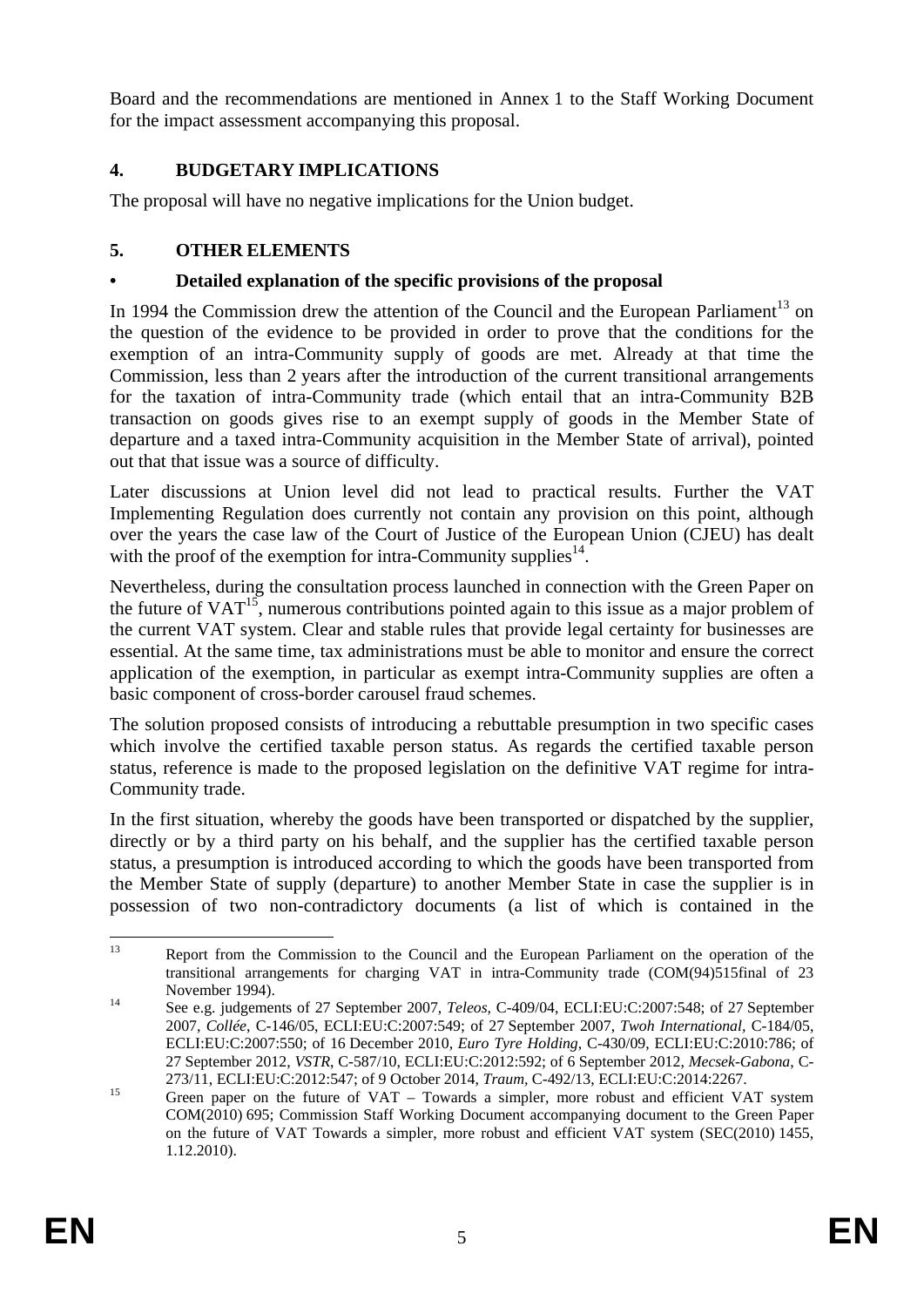Board and the recommendations are mentioned in Annex 1 to the Staff Working Document for the impact assessment accompanying this proposal.

# **4. BUDGETARY IMPLICATIONS**

The proposal will have no negative implications for the Union budget.

# **5. OTHER ELEMENTS**

# **• Detailed explanation of the specific provisions of the proposal**

In 1994 the Commission drew the attention of the Council and the European Parliament<sup>13</sup> on the question of the evidence to be provided in order to prove that the conditions for the exemption of an intra-Community supply of goods are met. Already at that time the Commission, less than 2 years after the introduction of the current transitional arrangements for the taxation of intra-Community trade (which entail that an intra-Community B2B transaction on goods gives rise to an exempt supply of goods in the Member State of departure and a taxed intra-Community acquisition in the Member State of arrival), pointed out that that issue was a source of difficulty.

Later discussions at Union level did not lead to practical results. Further the VAT Implementing Regulation does currently not contain any provision on this point, although over the years the case law of the Court of Justice of the European Union (CJEU) has dealt with the proof of the exemption for intra-Community supplies<sup>14</sup>.

Nevertheless, during the consultation process launched in connection with the Green Paper on the future of  $VAT^{15}$ , numerous contributions pointed again to this issue as a major problem of the current VAT system. Clear and stable rules that provide legal certainty for businesses are essential. At the same time, tax administrations must be able to monitor and ensure the correct application of the exemption, in particular as exempt intra-Community supplies are often a basic component of cross-border carousel fraud schemes.

The solution proposed consists of introducing a rebuttable presumption in two specific cases which involve the certified taxable person status. As regards the certified taxable person status, reference is made to the proposed legislation on the definitive VAT regime for intra-Community trade.

In the first situation, whereby the goods have been transported or dispatched by the supplier, directly or by a third party on his behalf, and the supplier has the certified taxable person status, a presumption is introduced according to which the goods have been transported from the Member State of supply (departure) to another Member State in case the supplier is in possession of two non-contradictory documents (a list of which is contained in the

<sup>13</sup> Report from the Commission to the Council and the European Parliament on the operation of the transitional arrangements for charging VAT in intra-Community trade (COM(94)515final of 23

November 1994). 14 See e.g. judgements of 27 September 2007, *Teleos,* C-409/04, ECLI:EU:C:2007:548; of 27 September 2007, *Collée*, C-146/05, ECLI:EU:C:2007:549; of 27 September 2007, *Twoh International,* C-184/05, ECLI:EU:C:2007:550; of 16 December 2010, *Euro Tyre Holding*, C-430/09, ECLI:EU:C:2010:786; of 27 September 2012, *VSTR*, C-587/10, ECLI:EU:C:2012:592; of 6 September 2012, *Mecsek-Gabona*, C-

<sup>&</sup>lt;sup>15</sup> Green paper on the future of VAT – Towards a simpler, more robust and efficient VAT system COM(2010) 695; Commission Staff Working Document accompanying document to the Green Paper on the future of VAT Towards a simpler, more robust and efficient VAT system (SEC(2010) 1455, 1.12.2010).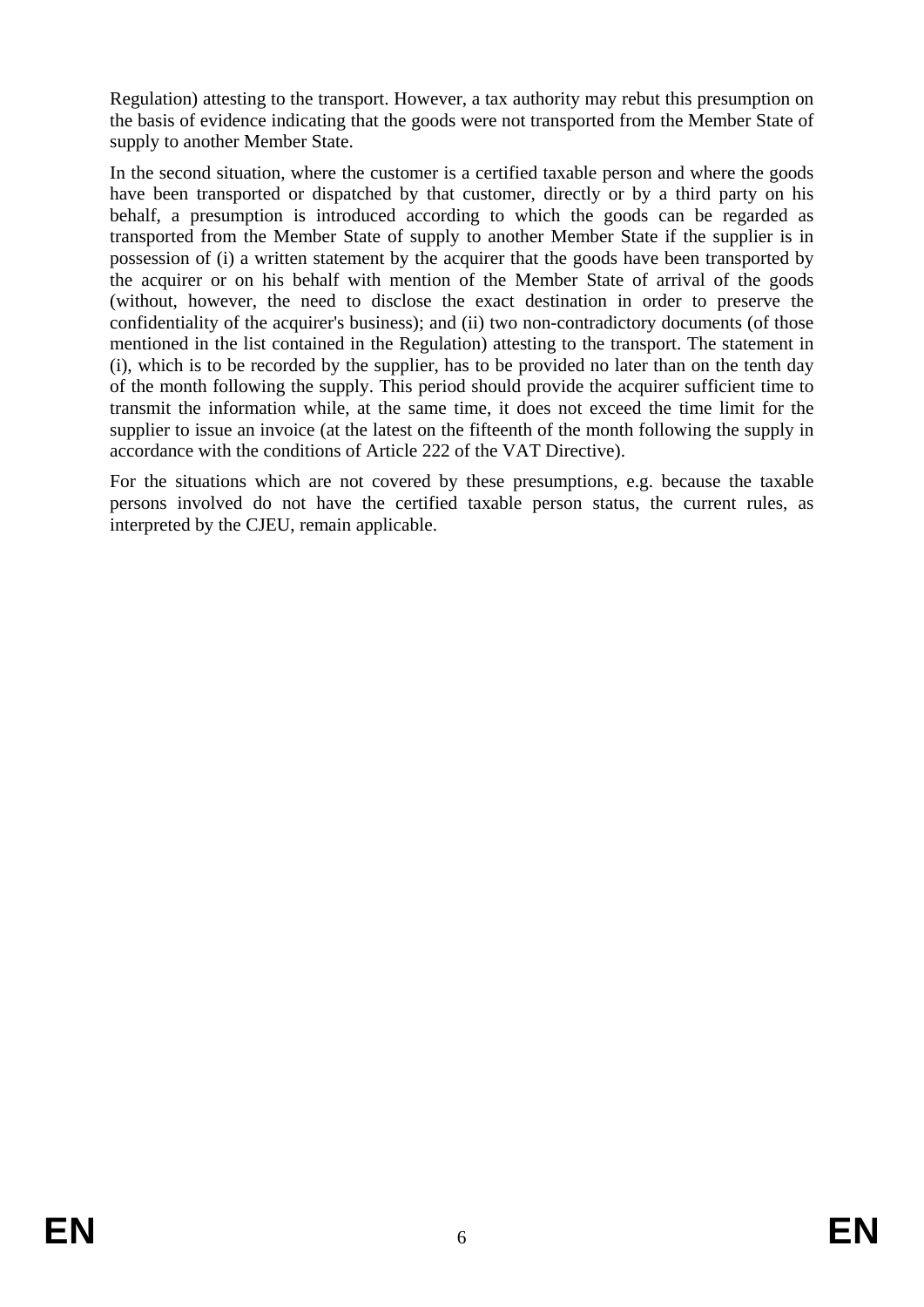Regulation) attesting to the transport. However, a tax authority may rebut this presumption on the basis of evidence indicating that the goods were not transported from the Member State of supply to another Member State.

In the second situation, where the customer is a certified taxable person and where the goods have been transported or dispatched by that customer, directly or by a third party on his behalf, a presumption is introduced according to which the goods can be regarded as transported from the Member State of supply to another Member State if the supplier is in possession of (i) a written statement by the acquirer that the goods have been transported by the acquirer or on his behalf with mention of the Member State of arrival of the goods (without, however, the need to disclose the exact destination in order to preserve the confidentiality of the acquirer's business); and (ii) two non-contradictory documents (of those mentioned in the list contained in the Regulation) attesting to the transport. The statement in (i), which is to be recorded by the supplier, has to be provided no later than on the tenth day of the month following the supply. This period should provide the acquirer sufficient time to transmit the information while, at the same time, it does not exceed the time limit for the supplier to issue an invoice (at the latest on the fifteenth of the month following the supply in accordance with the conditions of Article 222 of the VAT Directive).

For the situations which are not covered by these presumptions, e.g. because the taxable persons involved do not have the certified taxable person status, the current rules, as interpreted by the CJEU, remain applicable.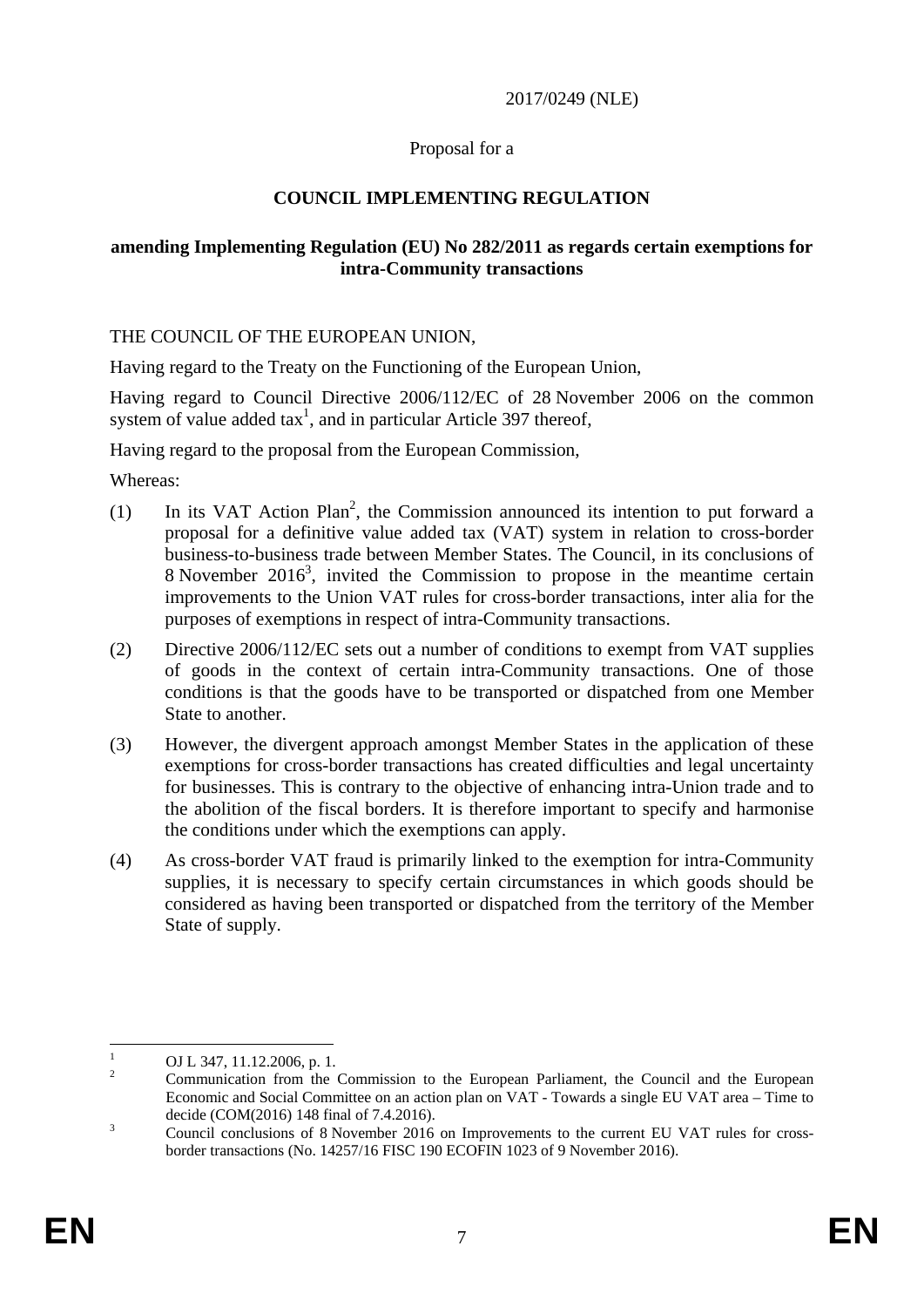#### 2017/0249 (NLE)

#### Proposal for a

# **COUNCIL IMPLEMENTING REGULATION**

#### **amending Implementing Regulation (EU) No 282/2011 as regards certain exemptions for intra-Community transactions**

THE COUNCIL OF THE EUROPEAN UNION,

Having regard to the Treaty on the Functioning of the European Union,

Having regard to Council Directive 2006/112/EC of 28 November 2006 on the common system of value added  $\text{tax}^1$ , and in particular Article 397 thereof,

Having regard to the proposal from the European Commission,

Whereas:

- (1) In its VAT Action Plan<sup>2</sup>, the Commission announced its intention to put forward a proposal for a definitive value added tax (VAT) system in relation to cross-border business-to-business trade between Member States. The Council, in its conclusions of 8 November 2016<sup>3</sup>, invited the Commission to propose in the meantime certain improvements to the Union VAT rules for cross-border transactions, inter alia for the purposes of exemptions in respect of intra-Community transactions.
- (2) Directive 2006/112/EC sets out a number of conditions to exempt from VAT supplies of goods in the context of certain intra-Community transactions. One of those conditions is that the goods have to be transported or dispatched from one Member State to another.
- (3) However, the divergent approach amongst Member States in the application of these exemptions for cross-border transactions has created difficulties and legal uncertainty for businesses. This is contrary to the objective of enhancing intra-Union trade and to the abolition of the fiscal borders. It is therefore important to specify and harmonise the conditions under which the exemptions can apply.
- (4) As cross-border VAT fraud is primarily linked to the exemption for intra-Community supplies, it is necessary to specify certain circumstances in which goods should be considered as having been transported or dispatched from the territory of the Member State of supply.

 $\frac{1}{1}$ OJ L 347, 11.12.2006, p. 1.

 $\overline{2}$  Communication from the Commission to the European Parliament, the Council and the European Economic and Social Committee on an action plan on VAT - Towards a single EU VAT area – Time to decide  $(COM(2016) 148$  final of 7.4.2016).

Council conclusions of 8 November 2016 on Improvements to the current EU VAT rules for crossborder transactions (No. 14257/16 FISC 190 ECOFIN 1023 of 9 November 2016).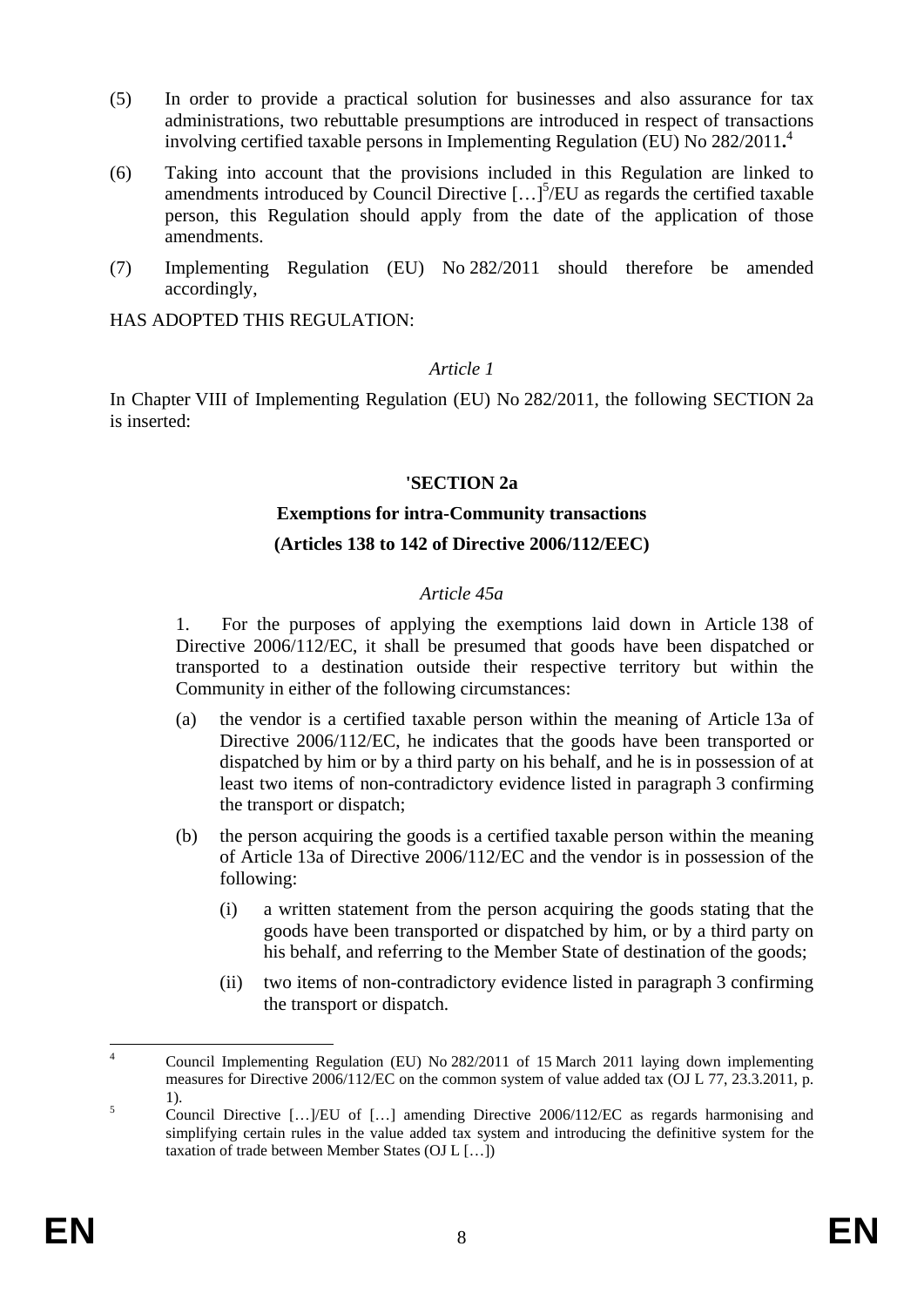- (5) In order to provide a practical solution for businesses and also assurance for tax administrations, two rebuttable presumptions are introduced in respect of transactions involving certified taxable persons in Implementing Regulation (EU) No 282/2011**.** 4
- (6) Taking into account that the provisions included in this Regulation are linked to amendments introduced by Council Directive  $[...]^{5}/EU$  as regards the certified taxable person, this Regulation should apply from the date of the application of those amendments.
- (7) Implementing Regulation (EU) No 282/2011 should therefore be amended accordingly,

HAS ADOPTED THIS REGULATION:

#### *Article 1*

In Chapter VIII of Implementing Regulation (EU) No 282/2011, the following SECTION 2a is inserted:

#### **'SECTION 2a**

# **Exemptions for intra-Community transactions**

#### **(Articles 138 to 142 of Directive 2006/112/EEC)**

#### *Article 45a*

1. For the purposes of applying the exemptions laid down in Article 138 of Directive 2006/112/EC, it shall be presumed that goods have been dispatched or transported to a destination outside their respective territory but within the Community in either of the following circumstances:

- (a) the vendor is a certified taxable person within the meaning of Article 13a of Directive 2006/112/EC, he indicates that the goods have been transported or dispatched by him or by a third party on his behalf, and he is in possession of at least two items of non-contradictory evidence listed in paragraph 3 confirming the transport or dispatch;
- (b) the person acquiring the goods is a certified taxable person within the meaning of Article 13a of Directive 2006/112/EC and the vendor is in possession of the following:
	- (i) a written statement from the person acquiring the goods stating that the goods have been transported or dispatched by him, or by a third party on his behalf, and referring to the Member State of destination of the goods;
	- (ii) two items of non-contradictory evidence listed in paragraph 3 confirming the transport or dispatch.

 $\frac{1}{4}$  Council Implementing Regulation (EU) No 282/2011 of 15 March 2011 laying down implementing measures for Directive 2006/112/EC on the common system of value added tax (OJ L 77, 23.3.2011, p.  $\frac{1}{5}$ .

Council Directive […]/EU of […] amending Directive 2006/112/EC as regards harmonising and simplifying certain rules in the value added tax system and introducing the definitive system for the taxation of trade between Member States (OJ L […])